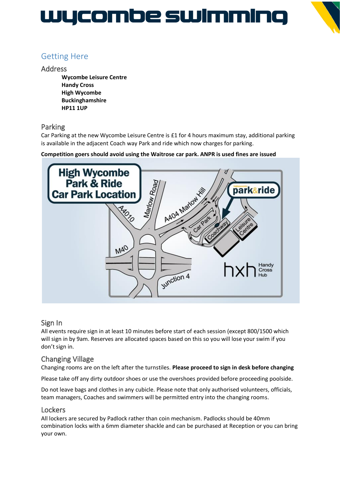# WYCOMDe SWIMMING



# Getting Here

## Address

**Wycombe Leisure Centre Handy Cross High Wycombe Buckinghamshire HP11 1UP**

# Parking

Car Parking at the new Wycombe Leisure Centre is £1 for 4 hours maximum stay, additional parking is available in the adjacent Coach way Park and ride which now charges for parking.

## **Competition goers should avoid using the Waitrose car park. ANPR is used fines are issued**



# Sign In

All events require sign in at least 10 minutes before start of each session (except 800/1500 which will sign in by 9am. Reserves are allocated spaces based on this so you will lose your swim if you don't sign in.

# Changing Village

Changing rooms are on the left after the turnstiles. **Please proceed to sign in desk before changing**

Please take off any dirty outdoor shoes or use the overshoes provided before proceeding poolside.

Do not leave bags and clothes in any cubicle. Please note that only authorised volunteers, officials, team managers, Coaches and swimmers will be permitted entry into the changing rooms.

# **Lockers**

All lockers are secured by Padlock rather than coin mechanism. Padlocks should be 40mm combination locks with a 6mm diameter shackle and can be purchased at Reception or you can bring your own.